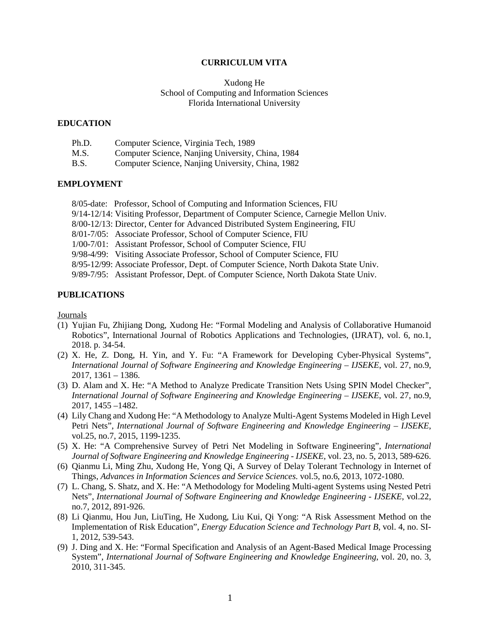#### **CURRICULUM VITA**

#### Xudong He School of Computing and Information Sciences Florida International University

#### **EDUCATION**

| Ph.D.       | Computer Science, Virginia Tech, 1989             |
|-------------|---------------------------------------------------|
| M.S.        | Computer Science, Nanjing University, China, 1984 |
| <b>B.S.</b> | Computer Science, Nanjing University, China, 1982 |

#### **EMPLOYMENT**

- 8/05-date: Professor, School of Computing and Information Sciences, FIU
- 9/14-12/14: Visiting Professor, Department of Computer Science, Carnegie Mellon Univ.
- 8/00-12/13: Director, Center for Advanced Distributed System Engineering, FIU
- 8/01-7/05: Associate Professor, School of Computer Science, FIU
- 1/00-7/01: Assistant Professor, School of Computer Science, FIU
- 9/98-4/99: Visiting Associate Professor, School of Computer Science, FIU
- 8/95-12/99: Associate Professor, Dept. of Computer Science, North Dakota State Univ.
- 9/89-7/95: Assistant Professor, Dept. of Computer Science, North Dakota State Univ.

#### **PUBLICATIONS**

Journals

- (1) Yujian Fu, Zhijiang Dong, Xudong He: "Formal Modeling and Analysis of Collaborative Humanoid Robotics", International Journal of Robotics Applications and Technologies, (IJRAT), vol. 6, no.1, 2018. p. 34-54.
- (2) X. He, Z. Dong, H. Yin, and Y. Fu: "A Framework for Developing Cyber-Physical Systems", *International Journal of Software Engineering and Knowledge Engineering – IJSEKE*, vol. 27, no.9, 2017, 1361 – 1386.
- (3) D. Alam and X. He: "A Method to Analyze Predicate Transition Nets Using SPIN Model Checker", *International Journal of Software Engineering and Knowledge Engineering – IJSEKE*, vol. 27, no.9, 2017, 1455 –1482.
- (4) Lily Chang and Xudong He: "A Methodology to Analyze Multi-Agent Systems Modeled in High Level Petri Nets", *International Journal of Software Engineering and Knowledge Engineering – IJSEKE*, vol.25, no.7, 2015, 1199-1235.
- (5) X. He: "A Comprehensive Survey of Petri Net Modeling in Software Engineering", *International Journal of Software Engineering and Knowledge Engineering - IJSEKE*, vol. 23, no. 5, 2013, 589-626.
- (6) Qianmu Li, Ming Zhu, Xudong He, Yong Qi, A Survey of Delay Tolerant Technology in Internet of Things, *Advances in Information Sciences and Service Sciences*. vol.5, no.6, 2013, 1072-1080.
- (7) L. Chang, S. Shatz, and X. He: "A Methodology for Modeling Multi-agent Systems using Nested Petri Nets", *International Journal of Software Engineering and Knowledge Engineering - IJSEKE*, vol.22, no.7, 2012, 891-926.
- (8) Li Qianmu, Hou Jun, LiuTing, He Xudong, Liu Kui, Qi Yong: "A Risk Assessment Method on the Implementation of Risk Education", *Energy Education Science and Technology Part B*, vol. 4, no. SI-1, 2012, 539-543.
- (9) J. Ding and X. He: "Formal Specification and Analysis of an Agent-Based Medical Image Processing System", *International Journal of Software Engineering and Knowledge Engineering*, vol. 20, no. 3, 2010, 311-345.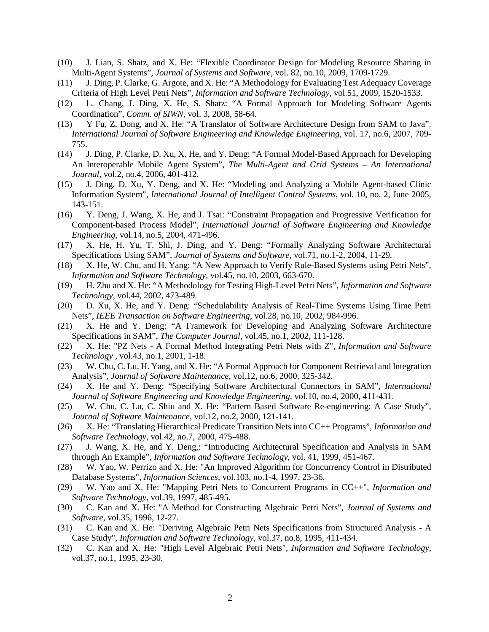- (10) J. Lian, S. Shatz, and X. He: "Flexible Coordinator Design for Modeling Resource Sharing in Multi-Agent Systems", *Journal of Systems and Software*, vol. 82, no.10, 2009, 1709-1729.
- (11) J. Ding, P. Clarke, G. Argote, and X. He: "A Methodology for Evaluating Test Adequacy Coverage Criteria of High Level Petri Nets", *Information and Software Technology*, vol.51, 2009, 1520-1533.
- (12) L. Chang, J. Ding, X. He, S. Shatz: "A Formal Approach for Modeling Software Agents Coordination", *Comm. of SIWN*, vol. 3, 2008, 58-64.
- (13) Y Fu, Z. Dong, and X. He: "A Translator of Software Architecture Design from SAM to Java". *International Journal of Software Engineering and Knowledge Engineering*, vol. 17, no.6, 2007, 709- 755.
- (14) J. Ding, P. Clarke, D. Xu, X. He, and Y. Deng: "A Formal Model-Based Approach for Developing An Interoperable Mobile Agent System", *The Multi-Agent and Grid Systems – An International Journal*, vol.2, no.4, 2006, 401-412.
- (15) J. Ding, D. Xu, Y. Deng, and X. He: "Modeling and Analyzing a Mobile Agent-based Clinic Information System", *International Journal of Intelligent Control Systems*, vol. 10, no. 2, June 2005, 143-151.
- (16) Y. Deng, J. Wang, X. He, and J. Tsai: "Constraint Propagation and Progressive Verification for Component-based Process Model", *International Journal of Software Engineering and Knowledge Engineering*, vol.14, no.5, 2004, 471-496.
- (17) X. He, H. Yu, T. Shi, J. Ding, and Y. Deng: "Formally Analyzing Software Architectural Specifications Using SAM", *Journal of Systems and Software*, vol.71, no.1-2, 2004, 11-29.
- (18) X. He, W. Chu, and H. Yang: "A New Approach to Verify Rule-Based Systems using Petri Nets", *Information and Software Technology*, vol.45, no.10, 2003, 663-670.
- (19) H. Zhu and X. He: "A Methodology for Testing High-Level Petri Nets", *Information and Software Technology*, vol.44, 2002, 473-489.
- (20) D. Xu, X. He, and Y. Deng: "Schedulability Analysis of Real-Time Systems Using Time Petri Nets", *IEEE Transaction on Software Engineering*, vol.28, no.10, 2002, 984-996.
- (21) X. He and Y. Deng: "A Framework for Developing and Analyzing Software Architecture Specifications in SAM", *The Computer Journal*, vol.45, no.1, 2002, 111-128.
- (22) X. He: "PZ Nets A Formal Method Integrating Petri Nets with Z", *Information and Software Technology* , vol.43, no.1, 2001, 1-18.
- (23) W. Chu, C. Lu, H. Yang, and X. He: "A Formal Approach for Component Retrieval and Integration Analysis", *Journal of Software Maintenance*, vol.12, no.6, 2000, 325-342.
- (24) X. He and Y. Deng: "Specifying Software Architectural Connectors in SAM", *International Journal of Software Engineering and Knowledge Engineering*, vol.10, no.4, 2000, 411-431.
- (25) W. Chu, C. Lu, C. Shiu and X. He: "Pattern Based Software Re-engineering: A Case Study", *Journal of Software Maintenance*, vol.12, no.2, 2000, 121-141.
- (26) X. He: "Translating Hierarchical Predicate Transition Nets into CC++ Programs", *Information and Software Technology*, vol.42, no.7, 2000, 475-488.
- (27) J. Wang, X. He, and Y. Deng,: "Introducing Architectural Specification and Analysis in SAM through An Example", *Information and Software Technology*, vol. 41, 1999, 451-467.
- (28) W. Yao, W. Perrizo and X. He: "An Improved Algorithm for Concurrency Control in Distributed Database Systems", *Information Sciences*, vol.103, no.1-4, 1997, 23-36.
- (29) W. Yao and X. He: "Mapping Petri Nets to Concurrent Programs in CC++", *Information and Software Technology*, vol.39, 1997, 485-495.
- (30) C. Kan and X. He: "A Method for Constructing Algebraic Petri Nets", *Journal of Systems and Software*, vol.35, 1996, 12-27.
- (31) C. Kan and X. He: "Deriving Algebraic Petri Nets Specifications from Structured Analysis A Case Study", *Information and Software Technology*, vol.37, no.8, 1995, 411-434.
- (32) C. Kan and X. He: "High Level Algebraic Petri Nets", *Information and Software Technology*, vol.37, no.1, 1995, 23-30.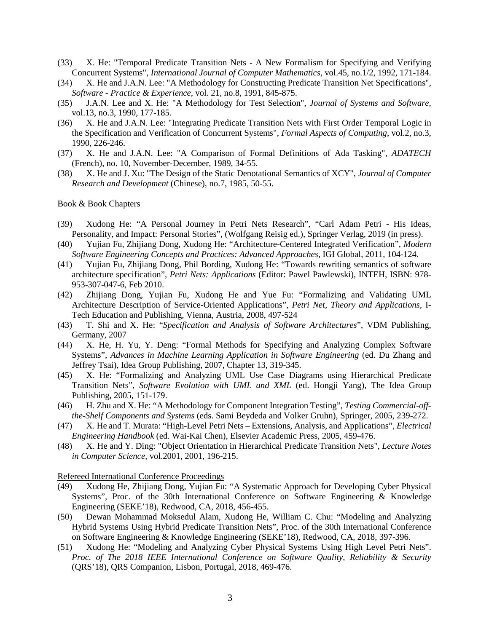- (33) X. He: "Temporal Predicate Transition Nets A New Formalism for Specifying and Verifying Concurrent Systems", *International Journal of Computer Mathematics*, vol.45, no.1/2, 1992, 171-184.
- (34) X. He and J.A.N. Lee: "A Methodology for Constructing Predicate Transition Net Specifications", *Software - Practice & Experience*, vol. 21, no.8, 1991, 845-875.
- (35) J.A.N. Lee and X. He: "A Methodology for Test Selection", *Journal of Systems and Software*, vol.13, no.3, 1990, 177-185.
- (36) X. He and J.A.N. Lee: "Integrating Predicate Transition Nets with First Order Temporal Logic in the Specification and Verification of Concurrent Systems", *Formal Aspects of Computing*, vol.2, no.3, 1990, 226-246.
- (37) X. He and J.A.N. Lee: "A Comparison of Formal Definitions of Ada Tasking", *ADATECH*  (French), no. 10, November-December, 1989, 34-55.
- (38) X. He and J. Xu: "The Design of the Static Denotational Semantics of XCY", *Journal of Computer Research and Development* (Chinese), no.7, 1985, 50-55.

#### Book & Book Chapters

- (39) Xudong He: "A Personal Journey in Petri Nets Research", "Carl Adam Petri His Ideas, Personality, and Impact: Personal Stories", (Wolfgang Reisig ed.), Springer Verlag, 2019 (in press).
- (40) Yujian Fu, Zhijiang Dong, Xudong He: "Architecture-Centered Integrated Verification", *Modern Software Engineering Concepts and Practices: Advanced Approaches*, IGI Global, 2011, 104-124.
- (41) Yujian Fu, Zhijiang Dong, Phil Bording, Xudong He: "Towards rewriting semantics of software architecture specification", *Petri Nets: Applications* (Editor: Pawel Pawlewski), INTEH, ISBN: 978- 953-307-047-6, Feb 2010.
- (42) Zhijiang Dong, Yujian Fu, Xudong He and Yue Fu: "Formalizing and Validating UML Architecture Description of Service-Oriented Applications", *Petri Net, Theory and Applications*, I-Tech Education and Publishing, Vienna, Austria, 2008, 497-524
- (43) T. Shi and X. He: "*Specification and Analysis of Software Architectures*", VDM Publishing, Germany, 2007
- (44) X. He, H. Yu, Y. Deng: "Formal Methods for Specifying and Analyzing Complex Software Systems", *Advances in Machine Learning Application in Software Engineering* (ed. Du Zhang and Jeffrey Tsai), Idea Group Publishing, 2007, Chapter 13, 319-345.
- (45) X. He: "Formalizing and Analyzing UML Use Case Diagrams using Hierarchical Predicate Transition Nets", *Software Evolution with UML and XML* (ed. Hongji Yang), The Idea Group Publishing, 2005, 151-179.
- (46) H. Zhu and X. He: "A Methodology for Component Integration Testing", *Testing Commercial-offthe-Shelf Components and Systems* (eds. Sami Beydeda and Volker Gruhn), Springer, 2005, 239-272.
- (47) X. He and T. Murata: "High-Level Petri Nets Extensions, Analysis, and Applications", *Electrical Engineering Handbook* (ed. Wai-Kai Chen), Elsevier Academic Press, 2005, 459-476.
- (48) X. He and Y. Ding: "Object Orientation in Hierarchical Predicate Transition Nets", *Lecture Notes in Computer Science*, vol.2001, 2001, 196-215.

#### Refereed International Conference Proceedings

- (49) Xudong He, Zhijiang Dong, Yujian Fu: "A Systematic Approach for Developing Cyber Physical Systems", Proc. of the 30th International Conference on Software Engineering & Knowledge Engineering (SEKE'18), Redwood, CA, 2018, 456-455.
- (50) Dewan Mohammad Moksedul Alam, Xudong He, William C. Chu: "Modeling and Analyzing Hybrid Systems Using Hybrid Predicate Transition Nets", Proc. of the 30th International Conference on Software Engineering & Knowledge Engineering (SEKE'18), Redwood, CA, 2018, 397-396.
- (51) Xudong He: "Modeling and Analyzing Cyber Physical Systems Using High Level Petri Nets". *Proc. of The 2018 IEEE International Conference on Software Quality, Reliability & Security* (QRS'18), QRS Companion, Lisbon, Portugal, 2018, 469-476.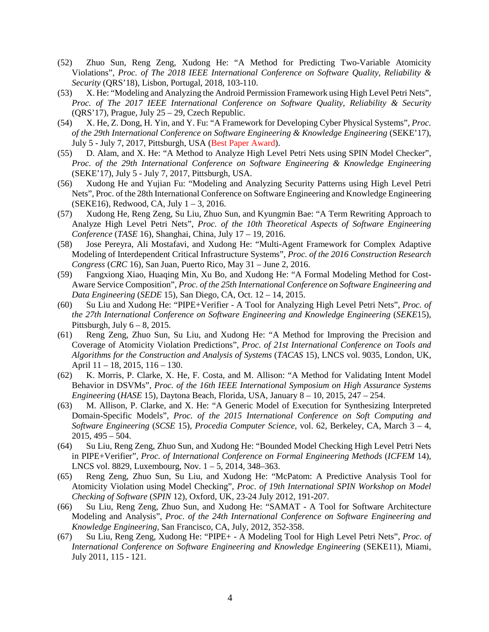- (52) Zhuo Sun, Reng Zeng, Xudong He: "A Method for Predicting Two-Variable Atomicity Violations", *Proc. of The 2018 IEEE International Conference on Software Quality, Reliability & Security* (QRS'18), Lisbon, Portugal, 2018, 103-110.
- (53) X. He: "Modeling and Analyzing the Android Permission Framework using High Level Petri Nets", *Proc. of The 2017 IEEE International Conference on Software Quality, Reliability & Security* (QRS'17), Prague, July 25 – 29, Czech Republic.
- (54) X. He, Z. Dong, H. Yin, and Y. Fu: "A Framework for Developing Cyber Physical Systems", *Proc. of the 29th International Conference on Software Engineering & Knowledge Engineering* (SEKE'17), July 5 - July 7, 2017, Pittsburgh, USA (Best Paper Award).
- (55) D. Alam, and X. He: "A Method to Analyze High Level Petri Nets using SPIN Model Checker", *Proc. of the 29th International Conference on Software Engineering & Knowledge Engineering* (SEKE'17), July 5 - July 7, 2017, Pittsburgh, USA.
- (56) Xudong He and Yujian Fu: "Modeling and Analyzing Security Patterns using High Level Petri Nets", Proc. of the 28th International Conference on Software Engineering and Knowledge Engineering (SEKE16), Redwood, CA, July 1 – 3, 2016.
- (57) Xudong He, Reng Zeng, Su Liu, Zhuo Sun, and Kyungmin Bae: "A Term Rewriting Approach to Analyze High Level Petri Nets", *Proc. of the 10th Theoretical Aspects of Software Engineering Conference* (*TASE* 16), Shanghai, China, July 17 – 19, 2016.
- (58) Jose Pereyra, Ali Mostafavi, and Xudong He: "Multi-Agent Framework for Complex Adaptive Modeling of Interdependent Critical Infrastructure Systems", *Proc. of the 2016 Construction Research Congress* (*CRC* 16), San Juan, Puerto Rico, May 31 – June 2, 2016.
- (59) Fangxiong Xiao, Huaqing Min, Xu Bo, and Xudong He: "A Formal Modeling Method for Cost-Aware Service Composition", *Proc. of the 25th International Conference on Software Engineering and Data Engineering* (*SEDE* 15), San Diego, CA, Oct. 12 – 14, 2015.
- (60) Su Liu and Xudong He: "PIPE+Verifier A Tool for Analyzing High Level Petri Nets", *Proc. of the 27th International Conference on Software Engineering and Knowledge Engineering* (*SEKE*15), Pittsburgh, July  $6 - 8$ , 2015.
- (61) Reng Zeng, Zhuo Sun, Su Liu, and Xudong He: "A Method for Improving the Precision and Coverage of Atomicity Violation Predictions", *Proc. of 21st International Conference on Tools and Algorithms for the Construction and Analysis of Systems* (*TACAS* 15), LNCS vol. 9035, London, UK, April 11 – 18, 2015, 116 – 130.
- (62) K. Morris, P. Clarke, X. He, F. Costa, and M. Allison: "A Method for Validating Intent Model Behavior in DSVMs", *Proc. of the 16th IEEE International Symposium on High Assurance Systems Engineering* (*HASE* 15), Daytona Beach, Florida, USA, January 8 – 10, 2015, 247 – 254.
- (63) M. Allison, P. Clarke, and X. He: "A Generic Model of Execution for Synthesizing Interpreted Domain-Specific Models", *Proc. of the 2015 International Conference on Soft Computing and Software Engineering* (*SCSE* 15), *Procedia Computer Science*, vol. 62, Berkeley, CA, March 3 – 4, 2015, 495 – 504.
- (64) Su Liu, Reng Zeng, Zhuo Sun, and Xudong He: "Bounded Model Checking High Level Petri Nets in PIPE+Verifier", *Proc. of International Conference on Formal Engineering Methods* (*ICFEM* 14), LNCS vol. 8829, Luxembourg, Nov. 1 – 5, 2014, 348–363.
- (65) Reng Zeng, Zhuo Sun, Su Liu, and Xudong He: "McPatom: A Predictive Analysis Tool for Atomicity Violation using Model Checking", *Proc. of 19th International SPIN Workshop on Model Checking of Software* (*SPIN* 12), Oxford, UK, 23-24 July 2012, 191-207.
- (66) Su Liu, Reng Zeng, Zhuo Sun, and Xudong He: "SAMAT A Tool for Software Architecture Modeling and Analysis", *Proc. of the 24th International Conference on Software Engineering and Knowledge Engineering*, San Francisco, CA, July, 2012, 352-358.
- (67) Su Liu, Reng Zeng, Xudong He: "PIPE+ A Modeling Tool for High Level Petri Nets", *Proc. of International Conference on Software Engineering and Knowledge Engineering* (SEKE11), Miami, July 2011, 115 - 121.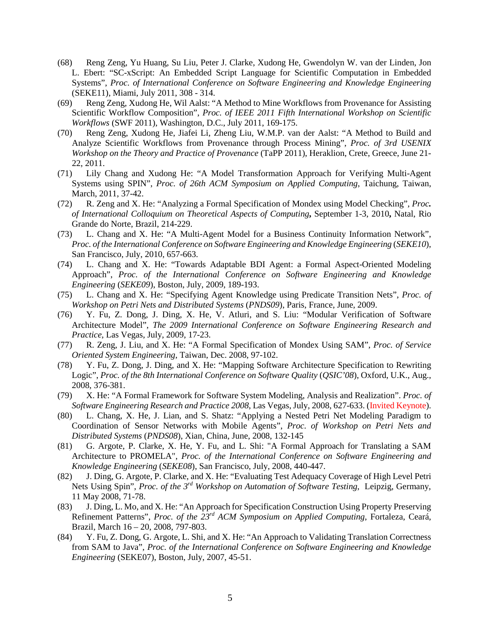- (68) Reng Zeng, Yu Huang, Su Liu, Peter J. Clarke, Xudong He, Gwendolyn W. van der Linden, Jon L. Ebert: "SC-xScript: An Embedded Script Language for Scientific Computation in Embedded Systems", *Proc. of International Conference on Software Engineering and Knowledge Engineering* (SEKE11), Miami, July 2011, 308 - 314.
- (69) Reng Zeng, Xudong He, Wil Aalst: "A Method to Mine Workflows from Provenance for Assisting Scientific Workflow Composition", *Proc. of IEEE 2011 Fifth International Workshop on Scientific Workflows* (SWF 2011), Washington, D.C., July 2011, 169-175.
- (70) Reng Zeng, Xudong He, Jiafei Li, Zheng Liu, W.M.P. van der Aalst: "A Method to Build and Analyze Scientific Workflows from Provenance through Process Mining", *Proc. of 3rd USENIX Workshop on the Theory and Practice of Provenance* (TaPP 2011), Heraklion, Crete, Greece, June 21- 22, 2011.
- (71) Lily Chang and Xudong He: "A Model Transformation Approach for Verifying Multi-Agent Systems using SPIN", *Proc. of 26th ACM Symposium on Applied Computing*, Taichung, Taiwan, March, 2011, 37-42.
- (72) R. Zeng and X. He: "Analyzing a Formal Specification of Mondex using Model Checking", *Proc. of International Colloquium on Theoretical Aspects of Computing***,** September 1-3, 2010**,** Natal, Rio Grande do Norte, Brazil, 214-229.
- (73) L. Chang and X. He: "A Multi-Agent Model for a Business Continuity Information Network", *Proc. of the International Conference on Software Engineering and Knowledge Engineering (SEKE10),* San Francisco, July, 2010, 657-663.
- (74) L. Chang and X. He: "Towards Adaptable BDI Agent: a Formal Aspect-Oriented Modeling Approach", *Proc. of the International Conference on Software Engineering and Knowledge Engineering* (*SEKE09*), Boston, July, 2009, 189-193.
- (75) L. Chang and X. He: "Specifying Agent Knowledge using Predicate Transition Nets", *Proc. of Workshop on Petri Nets and Distributed Systems* (*PNDS09*), Paris, France, June, 2009.
- (76) Y. Fu, Z. Dong, J. Ding, X. He, V. Atluri, and S. Liu: "Modular Verification of Software Architecture Model", *The 2009 International Conference on Software Engineering Research and Practice*, Las Vegas, July, 2009, 17-23.
- (77) R. Zeng, J. Liu, and X. He: "A Formal Specification of Mondex Using SAM", *Proc. of Service Oriented System Engineering*, Taiwan, Dec. 2008, 97-102.
- (78) Y. Fu, Z. Dong, J. Ding, and X. He: "Mapping Software Architecture Specification to Rewriting Logic", *Proc. of the 8th International Conference on Software Quality* (*QSIC'08*), Oxford, U.K., Aug., 2008, 376-381.
- (79) X. He: "A Formal Framework for Software System Modeling, Analysis and Realization". *Proc. of [Software Engineering Research and Practice 2008](http://www.informatik.uni-trier.de/%7Eley/db/conf/serp/serp2008.html#He08)*, Las Vegas, July, 2008, 627-633. (Invited Keynote).
- (80) L. Chang, X. He, J. Lian, and S. Shatz: "Applying a Nested Petri Net Modeling Paradigm to Coordination of Sensor Networks with Mobile Agents", *Proc. of Workshop on Petri Nets and Distributed Systems* (*PNDS08*), Xian, China, June, 2008, 132-145
- (81) G. Argote, P. Clarke, X. He, Y. Fu, and L. Shi: "A Formal Approach for Translating a SAM Architecture to PROMELA", *Proc. of the International Conference on Software Engineering and Knowledge Engineering* (*SEKE08*), San Francisco, July, 2008, 440-447.
- (82) J. Ding, G. Argote, P. Clarke, and X. He: "Evaluating Test Adequacy Coverage of High Level Petri Nets Using Spin", *Proc. of the 3rd Workshop on Automation of Software Testing*, Leipzig, Germany, 11 May 2008, 71-78.
- (83) J. Ding, L. Mo, and X. He: "An Approach for Specification Construction Using Property Preserving Refinement Patterns", *Proc. of the 23rd ACM Symposium on Applied Computing*, Fortaleza, Ceará, Brazil, March 16 – 20, 2008, 797-803.
- (84) Y. Fu, Z. Dong, G. Argote, L. Shi, and X. He: "An Approach to Validating Translation Correctness from SAM to Java", *Proc. of the International Conference on Software Engineering and Knowledge Engineering* (SEKE07), Boston, July, 2007, 45-51.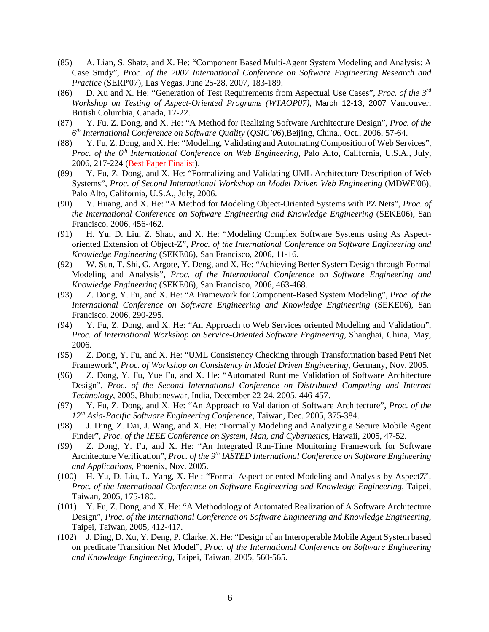- (85) A. Lian, S. Shatz, and X. He: "Component Based Multi-Agent System Modeling and Analysis: A Case Study", *Proc. of the 2007 International Conference on Software Engineering Research and Practice* (SERP'07), Las Vegas, June 25-28, 2007, 183-189.
- (86) D. Xu and X. He: "Generation of Test Requirements from Aspectual Use Cases", *Proc. of the 3rd Workshop on Testing of Aspect-Oriented Programs (WTAOP07)*, March 12-13, 2007 Vancouver, British Columbia, Canada, 17-22.
- (87) Y. Fu, Z. Dong, and X. He: "A Method for Realizing Software Architecture Design", *Proc. of the 6th International Conference on Software Quality* (*QSIC'06*),Beijing, China., Oct., 2006, 57-64.
- (88) Y. Fu, Z. Dong, and X. He: "Modeling, Validating and Automating Composition of Web Services", *Proc. of the 6th International Conference on Web Engineering*, Palo Alto, California, U.S.A., July, 2006, 217-224 (Best Paper Finalist).
- (89) Y. Fu, Z. Dong, and X. He: "Formalizing and Validating UML Architecture Description of Web Systems", *Proc. of Second International Workshop on Model Driven Web Engineering* (MDWE'06), Palo Alto, California, U.S.A., July, 2006.
- (90) Y. Huang, and X. He: "A Method for Modeling Object-Oriented Systems with PZ Nets", *Proc. of the International Conference on Software Engineering and Knowledge Engineering* (SEKE06), San Francisco, 2006, 456-462.
- (91) H. Yu, D. Liu, Z. Shao, and X. He: "Modeling Complex Software Systems using As Aspectoriented Extension of Object-Z", *Proc. of the International Conference on Software Engineering and Knowledge Engineering* (SEKE06), San Francisco, 2006, 11-16.
- (92) W. Sun, T. Shi, G. Argote, Y. Deng, and X. He: "Achieving Better System Design through Formal Modeling and Analysis", *Proc. of the International Conference on Software Engineering and Knowledge Engineering* (SEKE06), San Francisco, 2006, 463-468.
- (93) Z. Dong, Y. Fu, and X. He: "A Framework for Component-Based System Modeling", *Proc. of the International Conference on Software Engineering and Knowledge Engineering* (SEKE06), San Francisco, 2006, 290-295.
- (94) Y. Fu, Z. Dong, and X. He: "An Approach to Web Services oriented Modeling and Validation", *Proc. of International Workshop on Service-Oriented Software Engineering*, Shanghai, China, May, 2006.
- (95) Z. Dong, Y. Fu, and X. He: "UML Consistency Checking through Transformation based Petri Net Framework", *Proc. of Workshop on Consistency in Model Driven Engineering*, Germany, Nov. 2005.
- (96) Z. Dong, Y. Fu, Yue Fu, and X. He: "Automated Runtime Validation of Software Architecture Design", *Proc. of the Second International Conference on Distributed Computing and Internet Technology*, 2005, Bhubaneswar, India, December 22-24, 2005, 446-457.
- (97) Y. Fu, Z. Dong, and X. He: "An Approach to Validation of Software Architecture", *Proc. of the 12th Asia-Pacific Software Engineering Conference*, Taiwan, Dec. 2005, 375-384.
- (98) J. Ding, Z. Dai, J. Wang, and X. He: "Formally Modeling and Analyzing a Secure Mobile Agent Finder", *Proc. of the IEEE Conference on System, Man, and Cybernetics*, Hawaii, 2005, 47-52.
- (99) Z. Dong, Y. Fu, and X. He: "An Integrated Run-Time Monitoring Framework for Software Architecture Verification", *Proc. of the 9<sup>th</sup> IASTED International Conference on Software Engineering and Applications*, Phoenix, Nov. 2005.
- (100) H. Yu, D. Liu, L. Yang, X. He : "Formal Aspect-oriented Modeling and Analysis by AspectZ", *Proc. of the International Conference on Software Engineering and Knowledge Engineering*, Taipei, Taiwan, 2005, 175-180.
- (101) Y. Fu, Z. Dong, and X. He: "A Methodology of Automated Realization of A Software Architecture Design", *Proc. of the International Conference on Software Engineering and Knowledge Engineering*, Taipei, Taiwan, 2005, 412-417.
- (102) J. Ding, D. Xu, Y. Deng, P. Clarke, X. He: "Design of an Interoperable Mobile Agent System based on predicate Transition Net Model", *Proc. of the International Conference on Software Engineering and Knowledge Engineering*, Taipei, Taiwan, 2005, 560-565.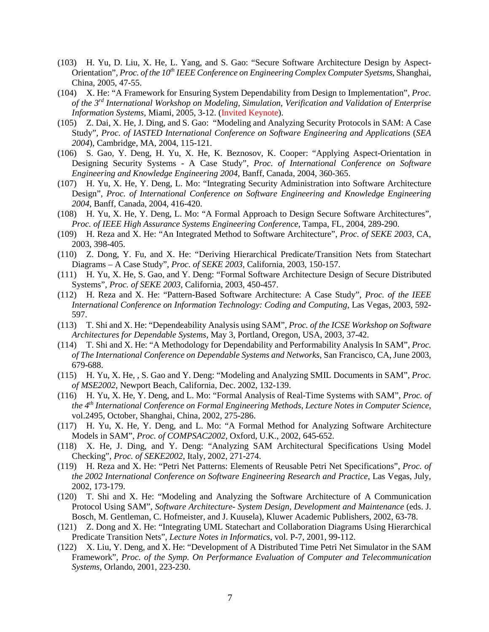- (103) H. Yu, D. Liu, X. He, L. Yang, and S. Gao: "Secure Software Architecture Design by Aspect-Orientation", *Proc. of the 10<sup>th</sup> IEEE Conference on Engineering Complex Computer Syetsms*, Shanghai, China, 2005, 47-55.
- (104) X. He: "A Framework for Ensuring System Dependability from Design to Implementation", *Proc. of the 3rd International Workshop on Modeling, Simulation, Verification and Validation of Enterprise Information Systems*, Miami, 2005, 3-12. (Invited Keynote).
- (105) Z. Dai, X. He, J. Ding, and S. Gao: "Modeling and Analyzing Security Protocols in SAM: A Case Study", *Proc. of IASTED International Conference on Software Engineering and Applications* (*SEA 2004*), Cambridge, MA, 2004, 115-121.
- (106) S. Gao, Y. Deng, H. Yu, X. He, K. Beznosov, K. Cooper: "Applying Aspect-Orientation in Designing Security Systems - A Case Study", *Proc. of International Conference on Software Engineering and Knowledge Engineering 2004*, Banff, Canada, 2004, 360-365.
- (107) H. Yu, X. He, Y. Deng, L. Mo: "Integrating Security Administration into Software Architecture Design", *Proc. of International Conference on Software Engineering and Knowledge Engineering 2004*, Banff, Canada, 2004, 416-420.
- (108) H. Yu, X. He, Y. Deng, L. Mo: "A Formal Approach to Design Secure Software Architectures", *Proc. of IEEE High Assurance Systems Engineering Conference*, Tampa, FL, 2004, 289-290.
- (109) H. Reza and X. He: "An Integrated Method to Software Architecture", *Proc. of SEKE 2003*, CA, 2003, 398-405.
- (110) Z. Dong, Y. Fu, and X. He: "Deriving Hierarchical Predicate/Transition Nets from Statechart Diagrams – A Case Study", *Proc. of SEKE 2003*, California, 2003, 150-157.
- (111) H. Yu, X. He, S. Gao, and Y. Deng: "Formal Software Architecture Design of Secure Distributed Systems", *Proc. of SEKE 2003*, California, 2003, 450-457.
- (112) H. Reza and X. He: "Pattern-Based Software Architecture: A Case Study", *Proc. of the IEEE International Conference on Information Technology: Coding and Computing*, Las Vegas, 2003, 592- 597.
- (113) T. Shi and X. He: "Dependeability Analysis using SAM", *Proc. of the ICSE Workshop on Software Architectures for Dependable Systems*, May 3, Portland, Oregon, USA, 2003, 37-42.
- (114) T. Shi and X. He: "A Methodology for Dependability and Performability Analysis In SAM", *Proc. of The International Conference on Dependable Systems and Networks*, San Francisco, CA, June 2003, 679-688.
- (115) H. Yu, X. He, , S. Gao and Y. Deng: "Modeling and Analyzing SMIL Documents in SAM", *Proc. of MSE2002*, Newport Beach, California, Dec. 2002, 132-139.
- (116) H. Yu, X. He, Y. Deng, and L. Mo: "Formal Analysis of Real-Time Systems with SAM", *Proc. of the 4th International Conference on Formal Engineering Methods*, *Lecture Notes in Computer Science*, vol.2495, October, Shanghai, China, 2002, 275-286.
- (117) H. Yu, X. He, Y. Deng, and L. Mo: "A Formal Method for Analyzing Software Architecture Models in SAM", *Proc. of COMPSAC2002*, Oxford, U.K., 2002, 645-652.
- (118) X. He, J. Ding, and Y. Deng: "Analyzing SAM Architectural Specifications Using Model Checking", *Proc. of SEKE2002*, Italy, 2002, 271-274.
- (119) H. Reza and X. He: "Petri Net Patterns: Elements of Reusable Petri Net Specifications", *Proc. of the 2002 International Conference on Software Engineering Research and Practice*, Las Vegas, July, 2002, 173-179.
- (120) T. Shi and X. He: "Modeling and Analyzing the Software Architecture of A Communication Protocol Using SAM", *Software Architecture- System Design, Development and Maintenance* (eds. J. Bosch, M. Gentleman, C. Hofmeister, and J. Kuusela), Kluwer Academic Publishers, 2002, 63-78.
- (121) Z. Dong and X. He: "Integrating UML Statechart and Collaboration Diagrams Using Hierarchical Predicate Transition Nets", *Lecture Notes in Informatics*, vol. P-7, 2001, 99-112.
- (122) X. Liu, Y. Deng, and X. He: "Development of A Distributed Time Petri Net Simulator in the SAM Framework", *Proc. of the Symp. On Performance Evaluation of Computer and Telecommunication Systems*, Orlando, 2001, 223-230.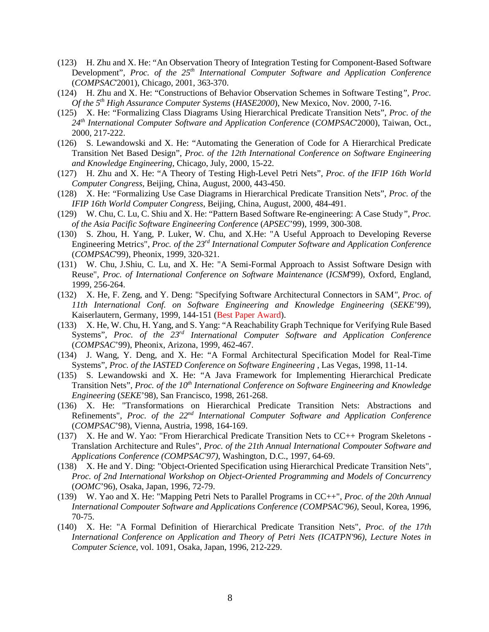- (123) H. Zhu and X. He: "An Observation Theory of Integration Testing for Component-Based Software Development", *Proc. of the 25th International Computer Software and Application Conference* (*COMPSAC*'2001), Chicago, 2001, 363-370.
- (124) H. Zhu and X. He: "Constructions of Behavior Observation Schemes in Software Testing*", Proc. Of the 5th High Assurance Computer Systems* (*HASE2000*), New Mexico, Nov. 2000, 7-16.
- (125) X. He: "Formalizing Class Diagrams Using Hierarchical Predicate Transition Nets", *Proc. of the 24th International Computer Software and Application Conference* (*COMPSAC*'2000), Taiwan, Oct., 2000, 217-222.
- (126) S. Lewandowski and X. He: "Automating the Generation of Code for A Hierarchical Predicate Transition Net Based Design", *Proc. of the 12th International Conference on Software Engineering and Knowledge Engineering*, Chicago, July, 2000, 15-22.
- (127) H. Zhu and X. He: "A Theory of Testing High-Level Petri Nets", *Proc. of the IFIP 16th World Computer Congress*, Beijing, China, August, 2000, 443-450.
- (128) X. He: "Formalizing Use Case Diagrams in Hierarchical Predicate Transition Nets", *Proc. of* the *IFIP 16th World Computer Congress*, Beijing, China, August, 2000, 484-491.
- (129) W. Chu, C. Lu, C. Shiu and X. He: "Pattern Based Software Re-engineering: A Case Study*", Proc. of the Asia Pacific Software Engineering Conference* (*APSEC*'99), 1999, 300-308.
- (130) S. Zhou, H. Yang, P. Luker, W. Chu, and X.He: "A Useful Approach to Developing Reverse Engineering Metrics", *Proc. of the 23rd International Computer Software and Application Conference* (*COMPSAC*'99), Pheonix, 1999, 320-321.
- (131) W. Chu, J.Shiu, C. Lu, and X. He: "A Semi-Formal Approach to Assist Software Design with Reuse", *Proc. of International Conference on Software Maintenance* (*ICSM*'99), Oxford, England, 1999, 256-264.
- (132) X. He, F. Zeng, and Y. Deng: "Specifying Software Architectural Connectors in SAM*", Proc. of 11th International Conf. on Software Engineering and Knowledge Engineering* (*SEKE*'99), Kaiserlautern, Germany, 1999, 144-151 (Best Paper Award).
- (133) X. He, W. Chu, H. Yang, and S. Yang: "A Reachability Graph Technique for Verifying Rule Based Systems", *Proc. of the 23rd International Computer Software and Application Conference*  (*COMPSAC*'99), Pheonix, Arizona, 1999, 462-467.
- (134) J. Wang, Y. Deng, and X. He: "A Formal Architectural Specification Model for Real-Time Systems", *Proc. of the IASTED Conference on Software Engineering* , Las Vegas, 1998, 11-14.
- (135) S. Lewandowski and X. He: "A Java Framework for Implementing Hierarchical Predicate Transition Nets", *Proc. of the 10<sup>th</sup> International Conference on Software Engineering and Knowledge Engineering* (*SEKE*'98), San Francisco, 1998, 261-268.
- (136) X. He: "Transformations on Hierarchical Predicate Transition Nets: Abstractions and Refinements", *Proc. of the 22nd International Computer Software and Application Conference* (*COMPSAC*'98), Vienna, Austria, 1998, 164-169.
- (137) X. He and W. Yao: "From Hierarchical Predicate Transition Nets to CC++ Program Skeletons Translation Architecture and Rules", *Proc. of the 21th Annual International Compouter Software and Applications Conference (COMPSAC'97)*, Washington, D.C., 1997, 64-69.
- (138) X. He and Y. Ding: "Object-Oriented Specification using Hierarchical Predicate Transition Nets", *Proc. of 2nd International Workshop on Object-Oriented Programming and Models of Concurrency* (*OOMC*'96), Osaka, Japan, 1996, 72-79.
- (139) W. Yao and X. He: "Mapping Petri Nets to Parallel Programs in CC++", *Proc. of the 20th Annual International Compouter Software and Applications Conference (COMPSAC'96)*, Seoul, Korea, 1996, 70-75.
- (140) X. He: "A Formal Definition of Hierarchical Predicate Transition Nets", *Proc. of the 17th International Conference on Application and Theory of Petri Nets (ICATPN'96)*, *Lecture Notes in Computer Science*, vol. 1091, Osaka, Japan, 1996, 212-229.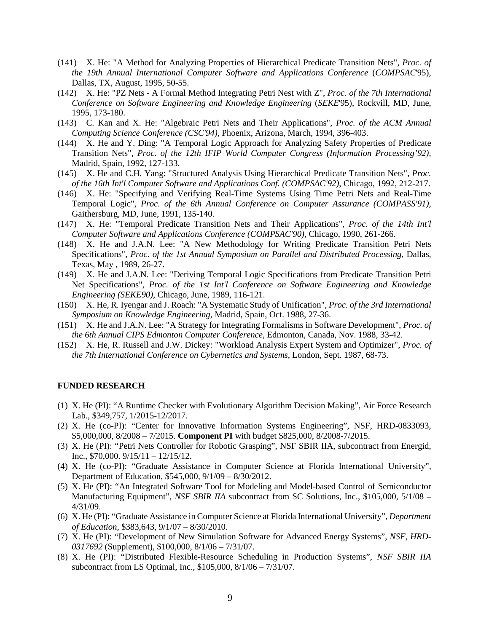- (141) X. He: "A Method for Analyzing Properties of Hierarchical Predicate Transition Nets", *Proc. of the 19th Annual International Computer Software and Applications Conference* (*COMPSAC*'95), Dallas, TX, August, 1995, 50-55.
- (142) X. He: "PZ Nets A Formal Method Integrating Petri Nest with Z", *Proc. of the 7th International Conference on Software Engineering and Knowledge Engineering* (*SEKE*'95), Rockvill, MD, June, 1995, 173-180.
- (143) C. Kan and X. He: "Algebraic Petri Nets and Their Applications", *Proc. of the ACM Annual Computing Science Conference (CSC'94)*, Phoenix, Arizona, March, 1994, 396-403.
- (144) X. He and Y. Ding: "A Temporal Logic Approach for Analyzing Safety Properties of Predicate Transition Nets", *Proc. of the 12th IFIP World Computer Congress (Information Processing'92),* Madrid, Spain, 1992, 127-133.
- (145) X. He and C.H. Yang: "Structured Analysis Using Hierarchical Predicate Transition Nets", *Proc. of the 16th Int'l Computer Software and Applications Conf. (COMPSAC'92)*, Chicago, 1992, 212-217.
- (146) X. He: "Specifying and Verifying Real-Time Systems Using Time Petri Nets and Real-Time Temporal Logic", *Proc. of the 6th Annual Conference on Computer Assurance (COMPASS'91)*, Gaithersburg, MD, June, 1991, 135-140.
- (147) X. He: "Temporal Predicate Transition Nets and Their Applications", *Proc. of the 14th Int'l Computer Software and Applications Conference (COMPSAC'90)*, Chicago, 1990, 261-266.
- (148) X. He and J.A.N. Lee: "A New Methodology for Writing Predicate Transition Petri Nets Specifications", *Proc. of the 1st Annual Symposium on Parallel and Distributed Processing*, Dallas, Texas, May , 1989, 26-27.
- (149) X. He and J.A.N. Lee: "Deriving Temporal Logic Specifications from Predicate Transition Petri Net Specifications", *Proc. of the 1st Int'l Conference on Software Engineering and Knowledge Engineering (SEKE90)*, Chicago, June, 1989, 116-121.
- (150) X. He, R. Iyengar and J. Roach: "A Systematic Study of Unification", *Proc. of the 3rd International Symposium on Knowledge Engineering*, Madrid, Spain, Oct. 1988, 27-36.
- (151) X. He and J.A.N. Lee: "A Strategy for Integrating Formalisms in Software Development", *Proc. of the 6th Annual CIPS Edmonton Computer Conference*, Edmonton, Canada, Nov. 1988, 33-42.
- (152) X. He, R. Russell and J.W. Dickey: "Workload Analysis Expert System and Optimizer", *Proc. of the 7th International Conference on Cybernetics and Systems*, London, Sept. 1987, 68-73.

#### **FUNDED RESEARCH**

- (1) X. He (PI): "A Runtime Checker with Evolutionary Algorithm Decision Making", Air Force Research Lab., \$349,757, 1/2015-12/2017.
- (2) X. He (co-PI): "Center for Innovative Information Systems Engineering", NSF, HRD-0833093, \$5,000,000, 8/2008 – 7/2015. **Component PI** with budget \$825,000, 8/2008-7/2015.
- (3) X. He (PI): "Petri Nets Controller for Robotic Grasping", NSF SBIR IIA, subcontract from Energid, Inc., \$70,000. 9/15/11 – 12/15/12.
- (4) X. He (co-PI): "Graduate Assistance in Computer Science at Florida International University", Department of Education, \$545,000, 9/1/09 – 8/30/2012.
- (5) X. He (PI): "An Integrated Software Tool for Modeling and Model-based Control of Semiconductor Manufacturing Equipment", *NSF SBIR IIA* subcontract from SC Solutions, Inc., \$105,000, 5/1/08 – 4/31/09.
- (6) X. He (PI): "Graduate Assistance in Computer Science at Florida International University", *Department of Education*, \$383,643, 9/1/07 – 8/30/2010.
- (7) X. He (PI): "Development of New Simulation Software for Advanced Energy Systems", *NSF, HRD-0317692* (Supplement), \$100,000, 8/1/06 – 7/31/07.
- (8) X. He (PI): "Distributed Flexible-Resource Scheduling in Production Systems", *NSF SBIR IIA* subcontract from LS Optimal, Inc., \$105,000, 8/1/06 – 7/31/07.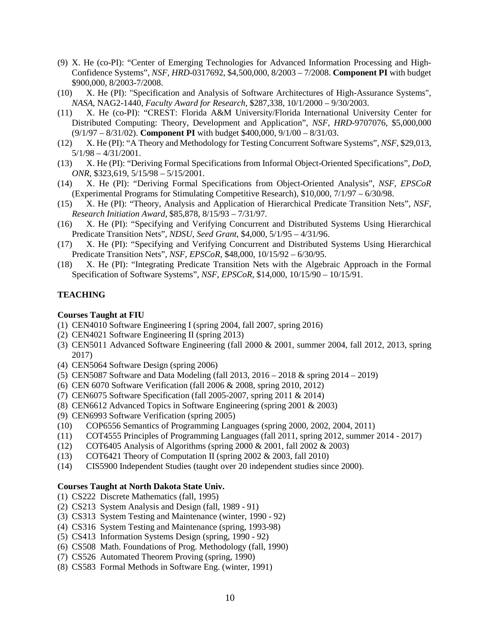- (9) X. He (co-PI): "Center of Emerging Technologies for Advanced Information Processing and High-Confidence Systems", *NSF*, *HRD*-0317692, \$4,500,000, 8/2003 – 7/2008. **Component PI** with budget \$900,000, 8/2003-7/2008.
- (10) X. He (PI): "Specification and Analysis of Software Architectures of High-Assurance Systems", *NASA*, NAG2-1440, *Faculty Award for Research*, \$287,338, 10/1/2000 – 9/30/2003.
- (11) X. He (co-PI): "CREST: Florida A&M University/Florida International University Center for Distributed Computing: Theory, Development and Application", *NSF*, *HRD*-9707076, \$5,000,000 (9/1/97 – 8/31/02). **Component PI** with budget \$400,000, 9/1/00 – 8/31/03.
- (12) X. He (PI): "A Theory and Methodology for Testing Concurrent Software Systems", *NSF*, \$29,013, 5/1/98 – 4/31/2001.
- (13) X. He (PI): "Deriving Formal Specifications from Informal Object-Oriented Specifications", *DoD*, *ONR*, \$323,619, 5/15/98 – 5/15/2001.
- (14) X. He (PI): "Deriving Formal Specifications from Object-Oriented Analysis", *NSF*, *EPSCoR* (Experimental Programs for Stimulating Competitive Research), \$10,000, 7/1/97 – 6/30/98.
- (15) X. He (PI): "Theory, Analysis and Application of Hierarchical Predicate Transition Nets", *NSF*, *Research Initiation Award*, \$85,878, 8/15/93 – 7/31/97.
- (16) X. He (PI): "Specifying and Verifying Concurrent and Distributed Systems Using Hierarchical Predicate Transition Nets", *NDSU*, *Seed Grant*, \$4,000, 5/1/95 – 4/31/96.
- (17) X. He (PI): "Specifying and Verifying Concurrent and Distributed Systems Using Hierarchical Predicate Transition Nets", *NSF*, *EPSCoR*, \$48,000, 10/15/92 – 6/30/95.
- (18) X. He (PI): "Integrating Predicate Transition Nets with the Algebraic Approach in the Formal Specification of Software Systems", *NSF*, *EPSCoR*, \$14,000, 10/15/90 – 10/15/91.

## **TEACHING**

#### **Courses Taught at FIU**

- (1) CEN4010 Software Engineering I (spring 2004, fall 2007, spring 2016)
- (2) CEN4021 Software Engineering II (spring 2013)
- (3) CEN5011 Advanced Software Engineering (fall 2000 & 2001, summer 2004, fall 2012, 2013, spring 2017)
- (4) CEN5064 Software Design (spring 2006)
- (5) CEN5087 Software and Data Modeling (fall 2013, 2016 2018 & spring 2014 2019)
- (6) CEN 6070 Software Verification (fall 2006 & 2008, spring 2010, 2012)
- (7) CEN6075 Software Specification (fall 2005-2007, spring 2011 & 2014)
- (8) CEN6612 Advanced Topics in Software Engineering (spring 2001 & 2003)
- (9) CEN6993 Software Verification (spring 2005)
- (10) COP6556 Semantics of Programming Languages (spring 2000, 2002, 2004, 2011)
- (11) COT4555 Principles of Programming Languages (fall 2011, spring 2012, summer 2014 2017)
- (12) COT6405 Analysis of Algorithms (spring 2000 & 2001, fall 2002 & 2003)
- (13) COT6421 Theory of Computation II (spring 2002 & 2003, fall 2010)
- (14) CIS5900 Independent Studies (taught over 20 independent studies since 2000).

#### **Courses Taught at North Dakota State Univ.**

- (1) CS222 Discrete Mathematics (fall, 1995)
- (2) CS213 System Analysis and Design (fall, 1989 91)
- (3) CS313 System Testing and Maintenance (winter, 1990 92)
- (4) CS316 System Testing and Maintenance (spring, 1993-98)
- (5) CS413 Information Systems Design (spring, 1990 92)
- (6) CS508 Math. Foundations of Prog. Methodology (fall, 1990)
- (7) CS526 Automated Theorem Proving (spring, 1990)
- (8) CS583 Formal Methods in Software Eng. (winter, 1991)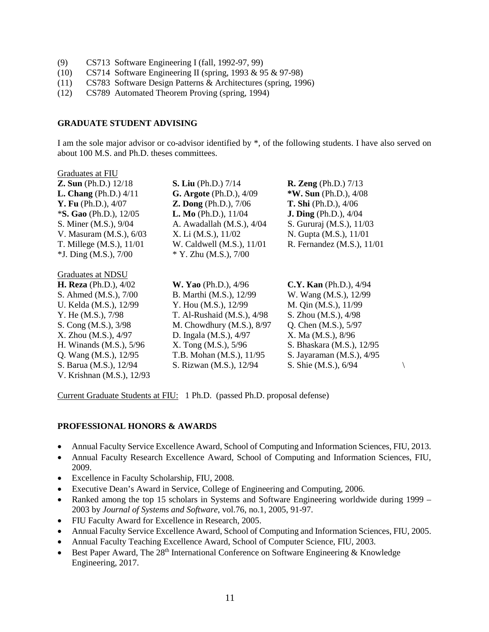- (9) CS713 Software Engineering I (fall, 1992-97, 99)
- (10) CS714 Software Engineering II (spring, 1993 & 95 & 97-98)
- (11) CS783 Software Design Patterns & Architectures (spring, 1996)
- (12) CS789 Automated Theorem Proving (spring, 1994)

#### **GRADUATE STUDENT ADVISING**

I am the sole major advisor or co-advisor identified by \*, of the following students. I have also served on about 100 M.S. and Ph.D. theses committees.

| Graduates at FIU               |                                |                                 |  |
|--------------------------------|--------------------------------|---------------------------------|--|
| <b>Z. Sun</b> (Ph.D.) $12/18$  | <b>S. Liu</b> (Ph.D.) 7/14     | <b>R.</b> Zeng (Ph.D.) $7/13$   |  |
| <b>L. Chang</b> (Ph.D.) $4/11$ | <b>G. Argote</b> (Ph.D.), 4/09 | * <b>W. Sun</b> (Ph.D.), $4/08$ |  |
| <b>Y. Fu</b> (Ph.D.), 4/07     | $Z.$ Dong (Ph.D.), $7/06$      | <b>T. Shi</b> (Ph.D.), 4/06     |  |
| $*$ S. Gao (Ph.D.), 12/05      | <b>L. Mo</b> (Ph.D.), $11/04$  | <b>J. Ding</b> (Ph.D.), $4/04$  |  |
| S. Miner (M.S.), 9/04          | A. Awadallah (M.S.), 4/04      | S. Gururaj (M.S.), 11/03        |  |
| V. Masuram (M.S.), 6/03        | X. Li (M.S.), 11/02            | N. Gupta (M.S.), 11/01          |  |
| T. Millege (M.S.), 11/01       | W. Caldwell (M.S.), 11/01      | R. Fernandez (M.S.), 11/01      |  |
| $*J.$ Ding (M.S.), $7/00$      | * Y. Zhu (M.S.), 7/00          |                                 |  |
| Graduates at NDSU              |                                |                                 |  |
| <b>H. Reza</b> (Ph.D.), $4/02$ | <b>W. Yao</b> (Ph.D.), 4/96    | $C.Y.$ Kan (Ph.D.), $4/94$      |  |
| S. Ahmed (M.S.), 7/00          | B. Marthi (M.S.), 12/99        | W. Wang (M.S.), 12/99           |  |
| U. Kelda (M.S.), 12/99         | Y. Hou (M.S.), 12/99           | M. Qin (M.S.), 11/99            |  |
| Y. He (M.S.), 7/98             | T. Al-Rushaid (M.S.), 4/98     | S. Zhou (M.S.), 4/98            |  |
| S. Cong (M.S.), 3/98           | M. Chowdhury $(M.S.), 8/97$    | Q. Chen (M.S.), 5/97            |  |
| X. Zhou (M.S.), 4/97           | D. Ingala (M.S.), 4/97         | X. Ma (M.S.), 8/96              |  |
| H. Winands (M.S.), 5/96        | X. Tong (M.S.), 5/96           | S. Bhaskara (M.S.), 12/95       |  |
| Q. Wang (M.S.), 12/95          | T.B. Mohan (M.S.), 11/95       | S. Jayaraman (M.S.), 4/95       |  |
| S. Barua (M.S.), 12/94         | S. Rizwan (M.S.), 12/94        | S. Shie (M.S.), 6/94            |  |
| V. Krishnan (M.S.), 12/93      |                                |                                 |  |

Current Graduate Students at FIU: 1 Ph.D. (passed Ph.D. proposal defense)

## **PROFESSIONAL HONORS & AWARDS**

- Annual Faculty Service Excellence Award, School of Computing and Information Sciences, FIU, 2013.
- Annual Faculty Research Excellence Award, School of Computing and Information Sciences, FIU, 2009.
- Excellence in Faculty Scholarship, FIU, 2008.
- Executive Dean's Award in Service, College of Engineering and Computing, 2006.
- Ranked among the top 15 scholars in Systems and Software Engineering worldwide during 1999 2003 by *Journal of Systems and Software*, vol.76, no.1, 2005, 91-97.
- FIU Faculty Award for Excellence in Research, 2005.
- Annual Faculty Service Excellence Award, School of Computing and Information Sciences, FIU, 2005.
- Annual Faculty Teaching Excellence Award, School of Computer Science, FIU, 2003.
- Best Paper Award, The  $28<sup>th</sup>$  International Conference on Software Engineering & Knowledge Engineering, 2017.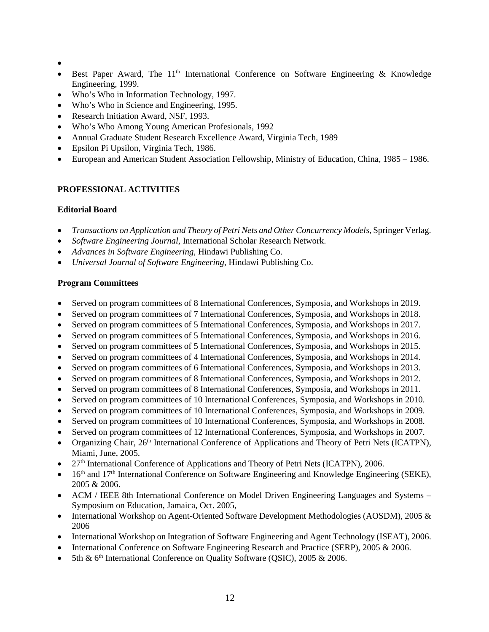- •
- Best Paper Award, The  $11<sup>th</sup>$  International Conference on Software Engineering & Knowledge Engineering, 1999.
- Who's Who in Information Technology, 1997.
- Who's Who in Science and Engineering, 1995.
- Research Initiation Award, NSF, 1993.
- Who's Who Among Young American Profesionals, 1992
- Annual Graduate Student Research Excellence Award, Virginia Tech, 1989
- Epsilon Pi Upsilon, Virginia Tech, 1986.
- European and American Student Association Fellowship, Ministry of Education, China, 1985 1986.

# **PROFESSIONAL ACTIVITIES**

# **Editorial Board**

- *Transactions on Application and Theory of Petri Nets and Other Concurrency Models*, Springer Verlag.
- *Software Engineering Journal,* International Scholar Research Network.
- *Advances in Software Engineering,* Hindawi Publishing Co.
- *Universal Journal of Software Engineering,* Hindawi Publishing Co.

# **Program Committees**

- Served on program committees of 8 International Conferences, Symposia, and Workshops in 2019.
- Served on program committees of 7 International Conferences, Symposia, and Workshops in 2018.
- Served on program committees of 5 International Conferences, Symposia, and Workshops in 2017.
- Served on program committees of 5 International Conferences, Symposia, and Workshops in 2016.
- Served on program committees of 5 International Conferences, Symposia, and Workshops in 2015.
- Served on program committees of 4 International Conferences, Symposia, and Workshops in 2014.
- Served on program committees of 6 International Conferences, Symposia, and Workshops in 2013.
- Served on program committees of 8 International Conferences, Symposia, and Workshops in 2012.
- Served on program committees of 8 International Conferences, Symposia, and Workshops in 2011.
- Served on program committees of 10 International Conferences, Symposia, and Workshops in 2010.
- Served on program committees of 10 International Conferences, Symposia, and Workshops in 2009.
- Served on program committees of 10 International Conferences, Symposia, and Workshops in 2008.
- Served on program committees of 12 International Conferences, Symposia, and Workshops in 2007.
- Organizing Chair, 26<sup>th</sup> International Conference of Applications and Theory of Petri Nets (ICATPN), Miami, June, 2005.
- $27<sup>th</sup>$  International Conference of Applications and Theory of Petri Nets (ICATPN), 2006.
- 16<sup>th</sup> and 17<sup>th</sup> International Conference on Software Engineering and Knowledge Engineering (SEKE), 2005 & 2006.
- ACM / IEEE 8th International Conference on Model Driven Engineering Languages and Systems Symposium on Education, Jamaica, Oct. 2005,
- International Workshop on Agent-Oriented Software Development Methodologies (AOSDM), 2005 & 2006
- International Workshop on Integration of Software Engineering and Agent Technology (ISEAT), 2006.
- International Conference on Software Engineering Research and Practice (SERP), 2005 & 2006.
- 5th & 6<sup>th</sup> International Conference on Quality Software (OSIC), 2005 & 2006.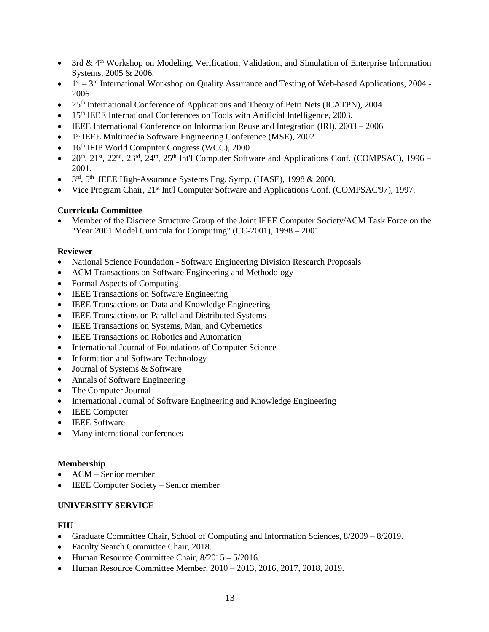- 3rd & 4<sup>th</sup> Workshop on Modeling, Verification, Validation, and Simulation of Enterprise Information Systems, 2005 & 2006.
- $\bullet$  1<sup>st</sup> 3<sup>rd</sup> International Workshop on Quality Assurance and Testing of Web-based Applications, 2004 -2006
- 25<sup>th</sup> International Conference of Applications and Theory of Petri Nets (ICATPN), 2004
- 15<sup>th</sup> IEEE International Conferences on Tools with Artificial Intelligence, 2003.
- IEEE International Conference on Information Reuse and Integration (IRI), 2003 2006
- 1<sup>st</sup> IEEE Multimedia Software Engineering Conference (MSE), 2002
- 16<sup>th</sup> IFIP World Computer Congress (WCC), 2000
- $20^{th}$ ,  $21^{st}$ ,  $22^{nd}$ ,  $23^{rd}$ ,  $24^{th}$ ,  $25^{th}$  Int'l Computer Software and Applications Conf. (COMPSAC), 1996 2001.
- $3<sup>rd</sup>$ ,  $5<sup>th</sup>$  IEEE High-Assurance Systems Eng. Symp. (HASE), 1998 & 2000.
- Vice Program Chair, 21<sup>st</sup> Int'l Computer Software and Applications Conf. (COMPSAC'97), 1997.

## **Currricula Committee**

• Member of the Discrete Structure Group of the Joint IEEE Computer Society/ACM Task Force on the "Year 2001 Model Curricula for Computing" (CC-2001), 1998 – 2001.

## **Reviewer**

- National Science Foundation Software Engineering Division Research Proposals
- ACM Transactions on Software Engineering and Methodology
- Formal Aspects of Computing
- IEEE Transactions on Software Engineering
- IEEE Transactions on Data and Knowledge Engineering
- IEEE Transactions on Parallel and Distributed Systems
- IEEE Transactions on Systems, Man, and Cybernetics
- **IEEE Transactions on Robotics and Automation**
- International Journal of Foundations of Computer Science
- Information and Software Technology
- Journal of Systems & Software
- Annals of Software Engineering
- The Computer Journal
- International Journal of Software Engineering and Knowledge Engineering
- IEEE Computer
- IEEE Software
- Many international conferences

## **Membership**

- ACM Senior member
- **IEEE Computer Society Senior member**

## **UNIVERSITY SERVICE**

## **FIU**

- Graduate Committee Chair, School of Computing and Information Sciences,  $8/2009 8/2019$ .
- Faculty Search Committee Chair, 2018.
- Human Resource Committee Chair,  $8/2015 5/2016$ .
- Human Resource Committee Member, 2010 2013, 2016, 2017, 2018, 2019.